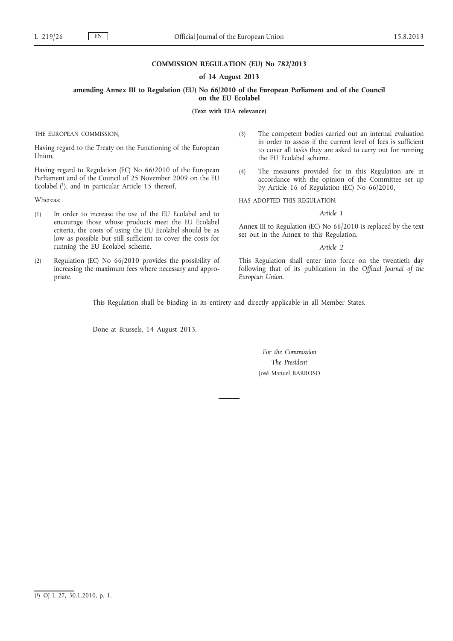## **COMMISSION REGULATION (EU) No 782/2013**

#### **of 14 August 2013**

# **amending Annex III to Regulation (EU) No 66/2010 of the European Parliament and of the Council on the EU Ecolabel**

**(Text with EEA relevance)**

THE EUROPEAN COMMISSION,

Having regard to the Treaty on the Functioning of the European Union,

Having regard to Regulation (EC) No 66/2010 of the European Parliament and of the Council of 25 November 2009 on the EU Ecolabel (1), and in particular Article 15 thereof,

Whereas:

- (1) In order to increase the use of the EU Ecolabel and to encourage those whose products meet the EU Ecolabel criteria, the costs of using the EU Ecolabel should be as low as possible but still sufficient to cover the costs for running the EU Ecolabel scheme.
- (2) Regulation (EC) No 66/2010 provides the possibility of increasing the maximum fees where necessary and appropriate.
- (3) The competent bodies carried out an internal evaluation in order to assess if the current level of fees is sufficient to cover all tasks they are asked to carry out for running the EU Ecolabel scheme.
- (4) The measures provided for in this Regulation are in accordance with the opinion of the Committee set up by Article 16 of Regulation (EC) No 66/2010,

HAS ADOPTED THIS REGULATION:

## *Article 1*

Annex III to Regulation (EC) No 66/2010 is replaced by the text set out in the Annex to this Regulation.

#### *Article 2*

This Regulation shall enter into force on the twentieth day following that of its publication in the *Official Journal of the European Union*.

This Regulation shall be binding in its entirety and directly applicable in all Member States.

Done at Brussels, 14 August 2013.

# *For the Commission The President* José Manuel BARROSO

<sup>(</sup> 1) OJ L 27, 30.1.2010, p. 1.